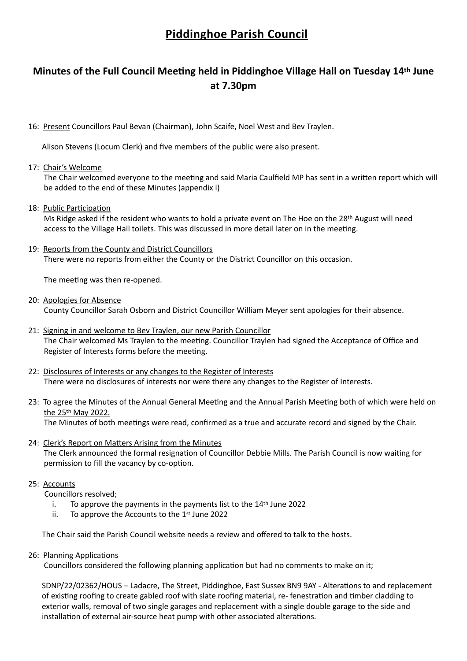# **Piddinghoe Parish Council**

# **Minutes of the Full Council Meeting held in Piddinghoe Village Hall on Tuesday 14th June at 7.30pm**

16: Present Councillors Paul Bevan (Chairman), John Scaife, Noel West and Bev Traylen.

Alison Stevens (Locum Clerk) and five members of the public were also present.

17: Chair's Welcome

 The Chair welcomed everyone to the meeting and said Maria Caulfield MP has sent in a written report which will be added to the end of these Minutes (appendix i)

18: Public Participation

 Ms Ridge asked if the resident who wants to hold a private event on The Hoe on the 28th August will need access to the Village Hall toilets. This was discussed in more detail later on in the meeting.

19: Reports from the County and District Councillors

There were no reports from either the County or the District Councillor on this occasion.

The meeting was then re-opened.

- 20: Apologies for Absence County Councillor Sarah Osborn and District Councillor William Meyer sent apologies for their absence.
- 21: Signing in and welcome to Bev Traylen, our new Parish Councillor The Chair welcomed Ms Traylen to the meeting. Councillor Traylen had signed the Acceptance of Office and Register of Interests forms before the meeting.
- 22: Disclosures of Interests or any changes to the Register of Interests There were no disclosures of interests nor were there any changes to the Register of Interests.
- 23: To agree the Minutes of the Annual General Meeting and the Annual Parish Meeting both of which were held on the 25th May 2022.

The Minutes of both meetings were read, confirmed as a true and accurate record and signed by the Chair.

- 24: Clerk's Report on Matters Arising from the Minutes The Clerk announced the formal resignation of Councillor Debbie Mills. The Parish Council is now waiting for permission to fill the vacancy by co-option.
- 25: Accounts
	- Councillors resolved;
		- i. To approve the payments in the payments list to the 14th June 2022
		- ii. To approve the Accounts to the  $1<sup>st</sup>$  June 2022

The Chair said the Parish Council website needs a review and offered to talk to the hosts.

26: Planning Applications

Councillors considered the following planning application but had no comments to make on it;

 SDNP/22/02362/HOUS – Ladacre, The Street, Piddinghoe, East Sussex BN9 9AY - Alterations to and replacement of existing roofing to create gabled roof with slate roofing material, re- fenestration and timber cladding to exterior walls, removal of two single garages and replacement with a single double garage to the side and installation of external air-source heat pump with other associated alterations.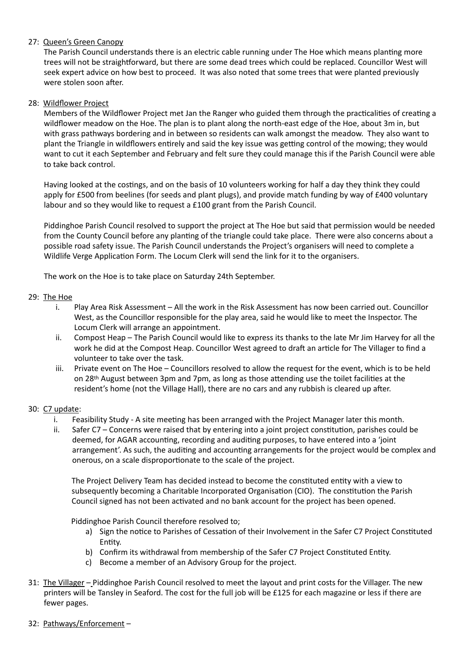# 27: Queen's Green Canopy

 The Parish Council understands there is an electric cable running under The Hoe which means planting more trees will not be straightforward, but there are some dead trees which could be replaced. Councillor West will seek expert advice on how best to proceed. It was also noted that some trees that were planted previously were stolen soon after.

#### 28: Wildflower Project

 Members of the Wildflower Project met Jan the Ranger who guided them through the practicalities of creating a wildflower meadow on the Hoe. The plan is to plant along the north-east edge of the Hoe, about 3m in, but with grass pathways bordering and in between so residents can walk amongst the meadow. They also want to plant the Triangle in wildflowers entirely and said the key issue was getting control of the mowing; they would want to cut it each September and February and felt sure they could manage this if the Parish Council were able to take back control.

 Having looked at the costings, and on the basis of 10 volunteers working for half a day they think they could apply for £500 from beelines (for seeds and plant plugs), and provide match funding by way of £400 voluntary labour and so they would like to request a £100 grant from the Parish Council.

 Piddinghoe Parish Council resolved to support the project at The Hoe but said that permission would be needed from the County Council before any planting of the triangle could take place. There were also concerns about a possible road safety issue. The Parish Council understands the Project's organisers will need to complete a Wildlife Verge Application Form. The Locum Clerk will send the link for it to the organisers.

The work on the Hoe is to take place on Saturday 24th September.

#### 29: The Hoe

- i. Play Area Risk Assessment All the work in the Risk Assessment has now been carried out. Councillor West, as the Councillor responsible for the play area, said he would like to meet the Inspector. The Locum Clerk will arrange an appointment.
- ii. Compost Heap The Parish Council would like to express its thanks to the late Mr Jim Harvey for all the work he did at the Compost Heap. Councillor West agreed to draft an article for The Villager to find a volunteer to take over the task.
- iii. Private event on The Hoe Councillors resolved to allow the request for the event, which is to be held on 28th August between 3pm and 7pm, as long as those attending use the toilet facilities at the resident's home (not the Village Hall), there are no cars and any rubbish is cleared up after.

#### 30: C7 update:

- i. Feasibility Study A site meeting has been arranged with the Project Manager later this month.
- ii. Safer C7 Concerns were raised that by entering into a joint project constitution, parishes could be deemed, for AGAR accounting, recording and auditing purposes, to have entered into a 'joint arrangement'. As such, the auditing and accounting arrangements for the project would be complex and onerous, on a scale disproportionate to the scale of the project.

 The Project Delivery Team has decided instead to become the constituted entity with a view to subsequently becoming a Charitable Incorporated Organisation (CIO). The constitution the Parish Council signed has not been activated and no bank account for the project has been opened.

Piddinghoe Parish Council therefore resolved to;

- a) Sign the notice to Parishes of Cessation of their Involvement in the Safer C7 Project Constituted Entity.
- b) Confirm its withdrawal from membership of the Safer C7 Project Constituted Entity.
- c) Become a member of an Advisory Group for the project.
- 31: The Villager Piddinghoe Parish Council resolved to meet the layout and print costs for the Villager. The new printers will be Tansley in Seaford. The cost for the full job will be £125 for each magazine or less if there are fewer pages.
- 32: Pathways/Enforcement –